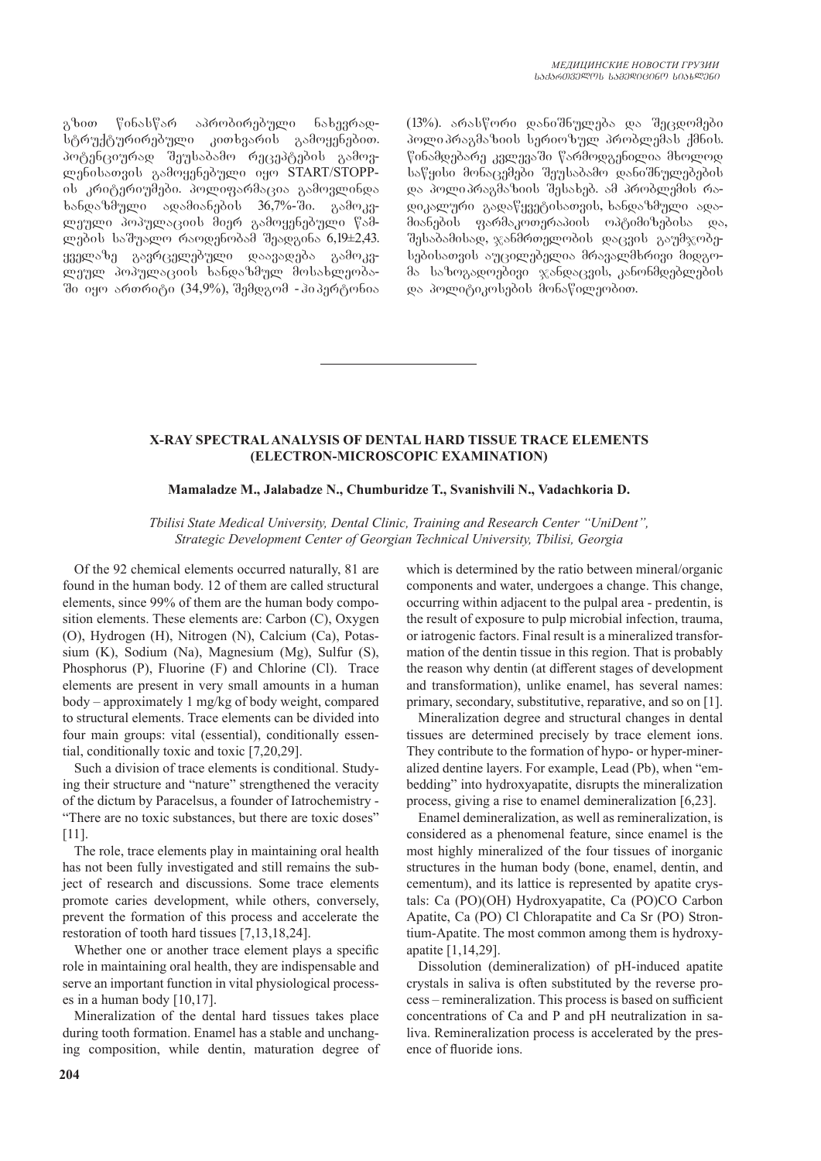გზით წინასწარ აპრობირებული ნახევრადსტრუქტურირებული კითხვარის გამოყენებით. პოტენციურად შეუსაბამო რეცეპტების გამოვლენისათვის გამოყენებული იყო START/STOPPის კრიტერიუმები. პოლიფარმაცია გამოვლინდა  $\frac{1}{6}$ b $\frac{1}{2}$ b $\frac{1}{2}$ ლეული პოპულაციის მიერ გამოყენებული წამლების საშუალო რაოდენობამ შეადგინა 6,19±2,43. ყველაზე გავრცელებული დაავადება გამოკვmgmm dodymogool bsbooddym dobsbmgodsში იყო ართრიტი (34,9%), შემდგომ - ჰიპერტონია (13%). არასწორი დანიშნულება და შეცდომები პოლიპრაგმაზიის სერიოზულ პრობლემას ქმნის. წინამდებარე კვლევაში წარმოდგენილია მხოლოდ საწყისი მონაცემები შეუსაბამო დანიშნულებების და პოლიპრაგმაზიის შესახებ. ამ პრობლემის რაgogsgman gagafyangobsongob, bsbosbdmgo sos-.<br>მიანების ფარმაკოთერაპიის ოპტიმიზებისა და, შესაბამისად, ჯანმრთელობის დაცვის გაუმჯობესებისათვის აუცილებელია მრავალმხრივი მიდგომა საზოგადოებივი ჯანდაცვის, კანონმდებლების და პოლიტიკოსების მონაწილეობით.

## **X-RAY SPECTRAL ANALYSIS OF DENTAL HARD TISSUE TRACE ELEMENTS (ELECTRON-MICROSCOPIC EXAMINATION)**

#### **Mamaladze M., Jalabadze N., Chumburidze T., Svanishvili N., Vadachkoria D.**

*Tbilisi State Medical University, Dental Clinic, Training and Research Center "UniDent", Strategic Development Center of Georgian Technical University, Tbilisi, Georgia*

Of the 92 chemical elements occurred naturally, 81 are found in the human body. 12 of them are called structural elements, since 99% of them are the human body composition elements. These elements are: Carbon (C), Oxygen (O), Hydrogen (H), Nitrogen (N), Calcium (Ca), Potassium (K), Sodium (Na), Magnesium (Mg), Sulfur (S), Phosphorus (P), Fluorine (F) and Chlorine (Cl). Trace elements are present in very small amounts in a human body – approximately 1 mg/kg of body weight, compared to structural elements. Trace elements can be divided into four main groups: vital (essential), conditionally essential, conditionally toxic and toxic [7,20,29].

Such a division of trace elements is conditional. Studying their structure and "nature" strengthened the veracity of the dictum by Paracelsus, a founder of Iatrochemistry - "There are no toxic substances, but there are toxic doses" [11].

The role, trace elements play in maintaining oral health has not been fully investigated and still remains the subject of research and discussions. Some trace elements promote caries development, while others, conversely, prevent the formation of this process and accelerate the restoration of tooth hard tissues [7,13,18,24].

Whether one or another trace element plays a specific role in maintaining oral health, they are indispensable and serve an important function in vital physiological processes in a human body [10,17].

Mineralization of the dental hard tissues takes place during tooth formation. Enamel has a stable and unchanging composition, while dentin, maturation degree of which is determined by the ratio between mineral/organic components and water, undergoes a change. This change, occurring within adjacent to the pulpal area - predentin, is the result of exposure to pulp microbial infection, trauma, or iatrogenic factors. Final result is a mineralized transformation of the dentin tissue in this region. That is probably the reason why dentin (at different stages of development and transformation), unlike enamel, has several names: primary, secondary, substitutive, reparative, and so on [1].

Mineralization degree and structural changes in dental tissues are determined precisely by trace element ions. They contribute to the formation of hypo- or hyper-mineralized dentine layers. For example, Lead (Pb), when "embedding" into hydroxyapatite, disrupts the mineralization process, giving a rise to enamel demineralization [6,23].

Enamel demineralization, as well as remineralization, is considered as a phenomenal feature, since enamel is the most highly mineralized of the four tissues of inorganic structures in the human body (bone, enamel, dentin, and cementum), and its lattice is represented by apatite crystals: Ca (PO)(OH) Hydroxyapatite, Ca (PO)CO Carbon Apatite, Ca (PO) Cl Chlorapatite and Ca Sr (PO) Strontium-Apatite. The most common among them is hydroxyapatite [1,14,29].

Dissolution (demineralization) of pH-induced apatite crystals in saliva is often substituted by the reverse process – remineralization. This process is based on sufficient concentrations of Ca and P and pH neutralization in saliva. Remineralization process is accelerated by the presence of fluoride ions.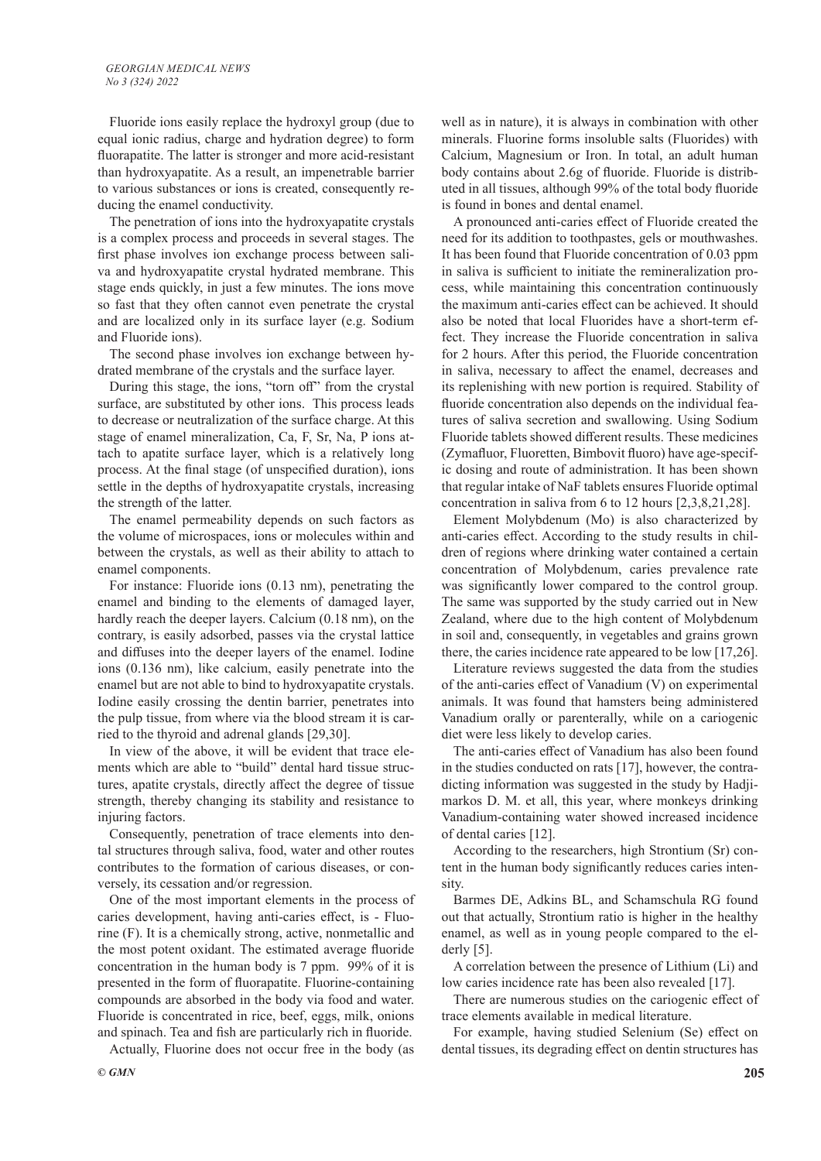Fluoride ions easily replace the hydroxyl group (due to equal ionic radius, charge and hydration degree) to form fluorapatite. The latter is stronger and more acid-resistant than hydroxyapatite. As a result, an impenetrable barrier to various substances or ions is created, consequently reducing the enamel conductivity.

The penetration of ions into the hydroxyapatite crystals is a complex process and proceeds in several stages. The first phase involves ion exchange process between saliva and hydroxyapatite crystal hydrated membrane. This stage ends quickly, in just a few minutes. The ions move so fast that they often cannot even penetrate the crystal and are localized only in its surface layer (e.g. Sodium and Fluoride ions).

The second phase involves ion exchange between hydrated membrane of the crystals and the surface layer.

During this stage, the ions, "torn off" from the crystal surface, are substituted by other ions. This process leads to decrease or neutralization of the surface charge. At this stage of enamel mineralization, Ca, F, Sr, Na, P ions attach to apatite surface layer, which is a relatively long process. At the final stage (of unspecified duration), ions settle in the depths of hydroxyapatite crystals, increasing the strength of the latter.

The enamel permeability depends on such factors as the volume of microspaces, ions or molecules within and between the crystals, as well as their ability to attach to enamel components.

For instance: Fluoride ions (0.13 nm), penetrating the enamel and binding to the elements of damaged layer, hardly reach the deeper layers. Calcium (0.18 nm), on the contrary, is easily adsorbed, passes via the crystal lattice and diffuses into the deeper layers of the enamel. Iodine ions (0.136 nm), like calcium, easily penetrate into the enamel but are not able to bind to hydroxyapatite crystals. Iodine easily crossing the dentin barrier, penetrates into the pulp tissue, from where via the blood stream it is carried to the thyroid and adrenal glands [29,30].

In view of the above, it will be evident that trace elements which are able to "build" dental hard tissue structures, apatite crystals, directly affect the degree of tissue strength, thereby changing its stability and resistance to injuring factors.

Consequently, penetration of trace elements into dental structures through saliva, food, water and other routes contributes to the formation of carious diseases, or conversely, its cessation and/or regression.

One of the most important elements in the process of caries development, having anti-caries effect, is - Fluorine (F). It is a chemically strong, active, nonmetallic and the most potent oxidant. The estimated average fluoride concentration in the human body is 7 ppm. 99% of it is presented in the form of fluorapatite. Fluorine-containing compounds are absorbed in the body via food and water. Fluoride is concentrated in rice, beef, eggs, milk, onions and spinach. Tea and fish are particularly rich in fluoride.

Actually, Fluorine does not occur free in the body (as

A pronounced anti-caries effect of Fluoride created the need for its addition to toothpastes, gels or mouthwashes. It has been found that Fluoride concentration of 0.03 ppm in saliva is sufficient to initiate the remineralization process, while maintaining this concentration continuously the maximum anti-caries effect can be achieved. It should also be noted that local Fluorides have a short-term effect. They increase the Fluoride concentration in saliva for 2 hours. After this period, the Fluoride concentration in saliva, necessary to affect the enamel, decreases and its replenishing with new portion is required. Stability of fluoride concentration also depends on the individual features of saliva secretion and swallowing. Using Sodium Fluoride tablets showed different results. These medicines (Zymafluor, Fluoretten, Bimbovit fluoro) have age-specific dosing and route of administration. It has been shown that regular intake of NaF tablets ensures Fluoride optimal concentration in saliva from 6 to 12 hours [2,3,8,21,28].

Element Molybdenum (Mo) is also characterized by anti-caries effect. According to the study results in children of regions where drinking water contained a certain concentration of Molybdenum, caries prevalence rate was significantly lower compared to the control group. The same was supported by the study carried out in New Zealand, where due to the high content of Molybdenum in soil and, consequently, in vegetables and grains grown there, the caries incidence rate appeared to be low [17,26].

Literature reviews suggested the data from the studies of the anti-caries effect of Vanadium (V) on experimental animals. It was found that hamsters being administered Vanadium orally or parenterally, while on a cariogenic diet were less likely to develop caries.

The anti-caries effect of Vanadium has also been found in the studies conducted on rats [17], however, the contradicting information was suggested in the study by Hadjimarkos D. M. et all, this year, where monkeys drinking Vanadium-containing water showed increased incidence of dental caries [12].

According to the researchers, high Strontium (Sr) content in the human body significantly reduces caries intensity.

Barmes DE, Adkins BL, and Schamschula RG found out that actually, Strontium ratio is higher in the healthy enamel, as well as in young people compared to the elderly [5].

A correlation between the presence of Lithium (Li) and low caries incidence rate has been also revealed [17].

There are numerous studies on the cariogenic effect of trace elements available in medical literature.

For example, having studied Selenium (Se) effect on dental tissues, its degrading effect on dentin structures has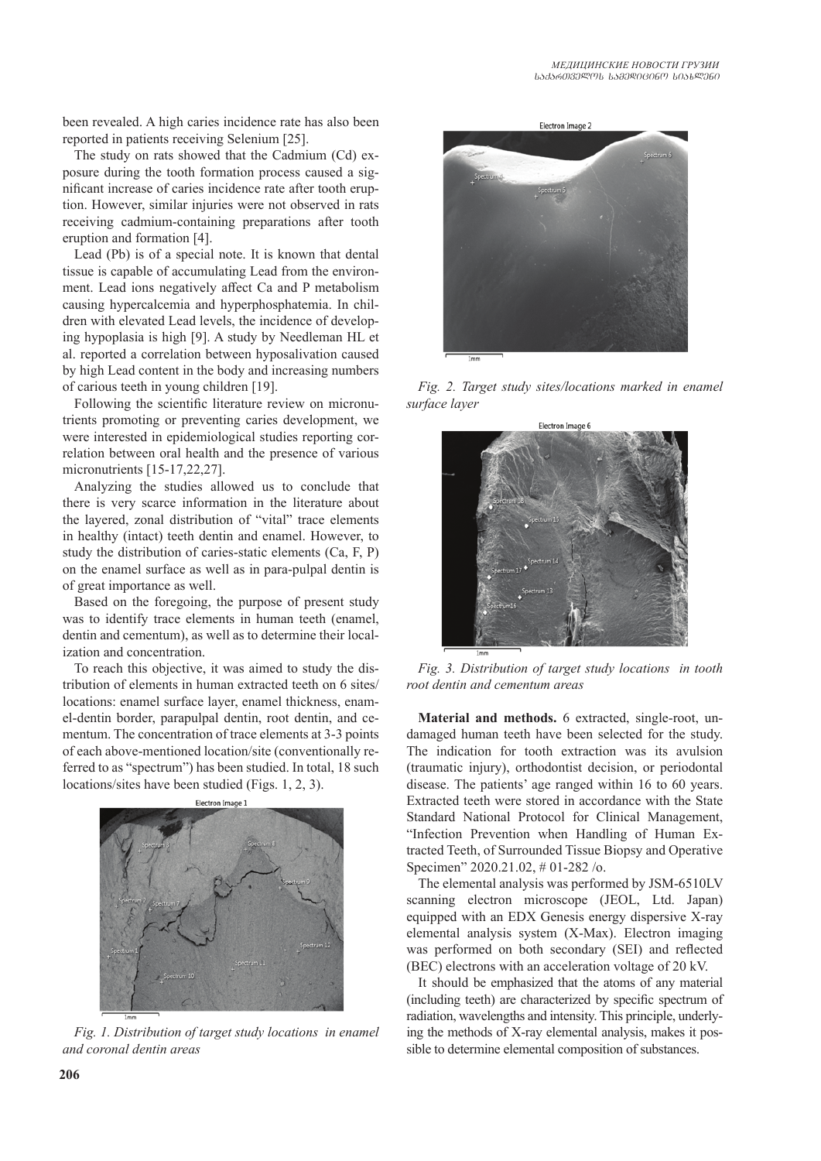been revealed. A high caries incidence rate has also been reported in patients receiving Selenium [25].

The study on rats showed that the Cadmium (Cd) exposure during the tooth formation process caused a significant increase of caries incidence rate after tooth eruption. However, similar injuries were not observed in rats receiving cadmium-containing preparations after tooth eruption and formation [4].

Lead (Pb) is of a special note. It is known that dental tissue is capable of accumulating Lead from the environment. Lead ions negatively affect Ca and P metabolism causing hypercalcemia and hyperphosphatemia. In children with elevated Lead levels, the incidence of developing hypoplasia is high [9]. A study by Needleman HL et al. reported a correlation between hyposalivation caused by high Lead content in the body and increasing numbers of carious teeth in young children [19].

Following the scientific literature review on micronutrients promoting or preventing caries development, we were interested in epidemiological studies reporting correlation between oral health and the presence of various micronutrients [15-17,22,27].

Analyzing the studies allowed us to conclude that there is very scarce information in the literature about the layered, zonal distribution of "vital" trace elements in healthy (intact) teeth dentin and enamel. However, to study the distribution of caries-static elements (Ca, F, P) on the enamel surface as well as in para-pulpal dentin is of great importance as well.

Based on the foregoing, the purpose of present study was to identify trace elements in human teeth (enamel, dentin and cementum), as well as to determine their localization and concentration.

To reach this objective, it was aimed to study the distribution of elements in human extracted teeth on 6 sites/ locations: enamel surface layer, enamel thickness, enamel-dentin border, parapulpal dentin, root dentin, and cementum. The concentration of trace elements at 3-3 points of each above-mentioned location/site (conventionally referred to as "spectrum") has been studied. In total, 18 such locations/sites have been studied (Figs. 1, 2, 3).



*Fig. 1. Distribution of target study locations in enamel and coronal dentin areas*



*Fig. 2. Target study sites/locations marked in enamel surface layer*



*Fig. 3. Distribution of target study locations in tooth root dentin and cementum areas*

**Material and methods.** 6 extracted, single-root, undamaged human teeth have been selected for the study. The indication for tooth extraction was its avulsion (traumatic injury), orthodontist decision, or periodontal disease. The patients' age ranged within 16 to 60 years. Extracted teeth were stored in accordance with the State Standard National Protocol for Clinical Management, "Infection Prevention when Handling of Human Extracted Teeth, of Surrounded Tissue Biopsy and Operative Specimen" 2020.21.02, # 01-282 /o.

The elemental analysis was performed by JSM-6510LV scanning electron microscope (JEOL, Ltd. Japan) equipped with an EDX Genesis energy dispersive X-ray elemental analysis system (X-Max). Electron imaging was performed on both secondary (SEI) and reflected (BEC) electrons with an acceleration voltage of 20 kV.

It should be emphasized that the atoms of any material (including teeth) are characterized by specific spectrum of radiation, wavelengths and intensity. This principle, underlying the methods of X-ray elemental analysis, makes it possible to determine elemental composition of substances.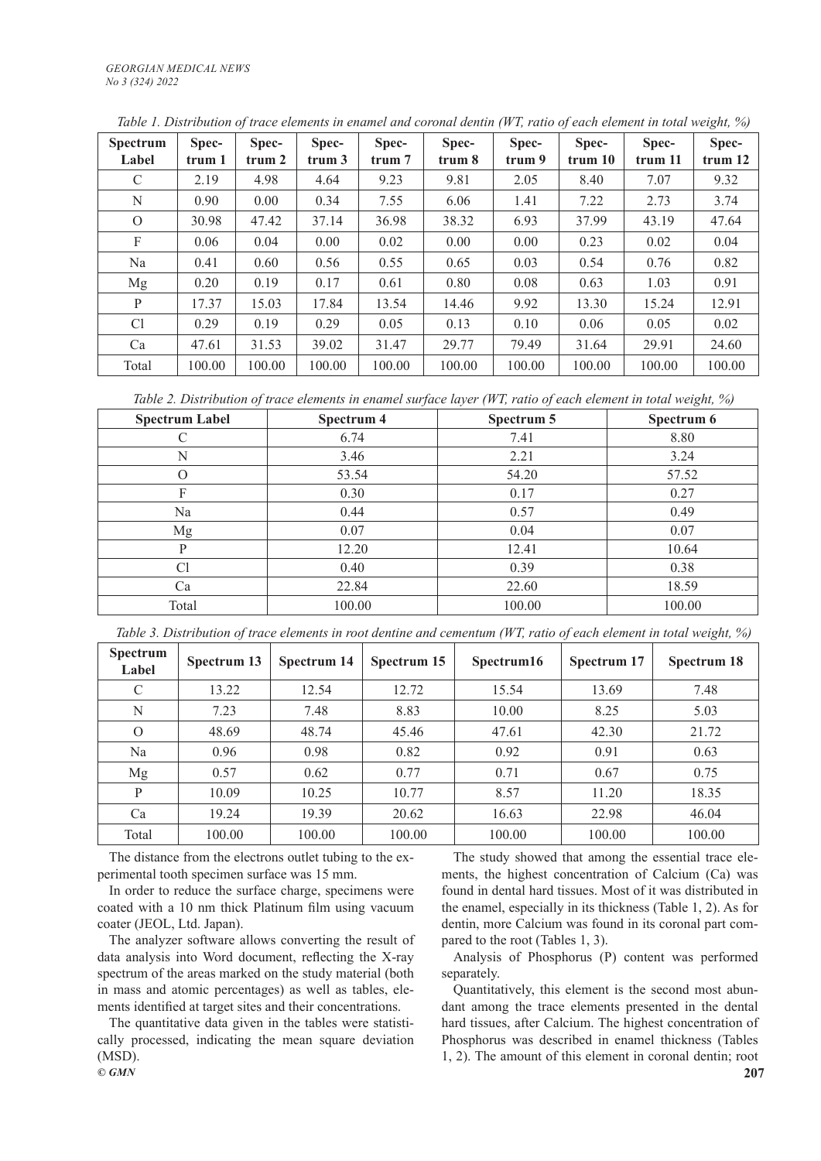| <b>Spectrum</b><br>Label | Spec-<br>trum 1 | Spec-<br>trum <sub>2</sub> | Spec-<br>trum <sub>3</sub> | Spec-<br>trum 7 | Spec-<br>trum 8 | Spec-<br>trum 9 | Spec-<br>trum 10 | Spec-<br>trum 11 | Spec-<br>trum <sub>12</sub> |
|--------------------------|-----------------|----------------------------|----------------------------|-----------------|-----------------|-----------------|------------------|------------------|-----------------------------|
| $\mathsf{C}$             | 2.19            | 4.98                       | 4.64                       | 9.23            | 9.81            | 2.05            | 8.40             | 7.07             | 9.32                        |
| N                        | 0.90            | 0.00                       | 0.34                       | 7.55            | 6.06            | 1.41            | 7.22             | 2.73             | 3.74                        |
| $\Omega$                 | 30.98           | 47.42                      | 37.14                      | 36.98           | 38.32           | 6.93            | 37.99            | 43.19            | 47.64                       |
| F                        | 0.06            | 0.04                       | 0.00                       | 0.02            | 0.00            | 0.00            | 0.23             | 0.02             | 0.04                        |
| Na                       | 0.41            | 0.60                       | 0.56                       | 0.55            | 0.65            | 0.03            | 0.54             | 0.76             | 0.82                        |
| Mg                       | 0.20            | 0.19                       | 0.17                       | 0.61            | 0.80            | 0.08            | 0.63             | 1.03             | 0.91                        |
| P                        | 17.37           | 15.03                      | 17.84                      | 13.54           | 14.46           | 9.92            | 13.30            | 15.24            | 12.91                       |
| C <sub>1</sub>           | 0.29            | 0.19                       | 0.29                       | 0.05            | 0.13            | 0.10            | 0.06             | 0.05             | 0.02                        |
| Ca                       | 47.61           | 31.53                      | 39.02                      | 31.47           | 29.77           | 79.49           | 31.64            | 29.91            | 24.60                       |
| Total                    | 100.00          | 100.00                     | 100.00                     | 100.00          | 100.00          | 100.00          | 100.00           | 100.00           | 100.00                      |

*Table 1. Distribution of trace elements in enamel and coronal dentin (WT, ratio of each element in total weight, %)*

*Table 2. Distribution of trace elements in enamel surface layer (WT, ratio of each element in total weight, %)*

| <b>Spectrum Label</b> | Spectrum 4 | Spectrum 5 | Spectrum 6 |
|-----------------------|------------|------------|------------|
|                       | 6.74       | 7.41       | 8.80       |
| N                     | 3.46       | 2.21       | 3.24       |
| $\Omega$              | 53.54      | 54.20      | 57.52      |
| F                     | 0.30       | 0.17       | 0.27       |
| Na                    | 0.44       | 0.57       | 0.49       |
| Mg                    | 0.07       | 0.04       | 0.07       |
| P                     | 12.20      | 12.41      | 10.64      |
| C <sub>1</sub>        | 0.40       | 0.39       | 0.38       |
| Ca                    | 22.84      | 22.60      | 18.59      |
| Total                 | 100.00     | 100.00     | 100.00     |

*Table 3. Distribution of trace elements in root dentine and cementum (WT, ratio of each element in total weight, %)*

| <b>Spectrum</b><br>Label | Spectrum 13 | Spectrum 14 | Spectrum 15 | Spectrum16 | Spectrum 17 | Spectrum 18 |
|--------------------------|-------------|-------------|-------------|------------|-------------|-------------|
| $\mathcal{C}$            | 13.22       | 12.54       | 12.72       | 15.54      | 13.69       | 7.48        |
| N                        | 7.23        | 7.48        | 8.83        | 10.00      | 8.25        | 5.03        |
| $\Omega$                 | 48.69       | 48.74       | 45.46       | 47.61      | 42.30       | 21.72       |
| Na                       | 0.96        | 0.98        | 0.82        | 0.92       | 0.91        | 0.63        |
| Mg                       | 0.57        | 0.62        | 0.77        | 0.71       | 0.67        | 0.75        |
| P                        | 10.09       | 10.25       | 10.77       | 8.57       | 11.20       | 18.35       |
| Ca                       | 19.24       | 19.39       | 20.62       | 16.63      | 22.98       | 46.04       |
| Total                    | 100.00      | 100.00      | 100.00      | 100.00     | 100.00      | 100.00      |

The distance from the electrons outlet tubing to the experimental tooth specimen surface was 15 mm.

In order to reduce the surface charge, specimens were coated with a 10 nm thick Platinum film using vacuum coater (JEOL, Ltd. Japan).

The analyzer software allows converting the result of data analysis into Word document, reflecting the X-ray spectrum of the areas marked on the study material (both in mass and atomic percentages) as well as tables, elements identified at target sites and their concentrations.

The quantitative data given in the tables were statistically processed, indicating the mean square deviation (MSD).

The study showed that among the essential trace elements, the highest concentration of Calcium (Ca) was found in dental hard tissues. Most of it was distributed in the enamel, especially in its thickness (Table 1, 2). As for dentin, more Calcium was found in its coronal part compared to the root (Tables 1, 3).

Analysis of Phosphorus (P) content was performed separately.

Quantitatively, this element is the second most abundant among the trace elements presented in the dental hard tissues, after Calcium. The highest concentration of Phosphorus was described in enamel thickness (Tables 1, 2). The amount of this element in coronal dentin; root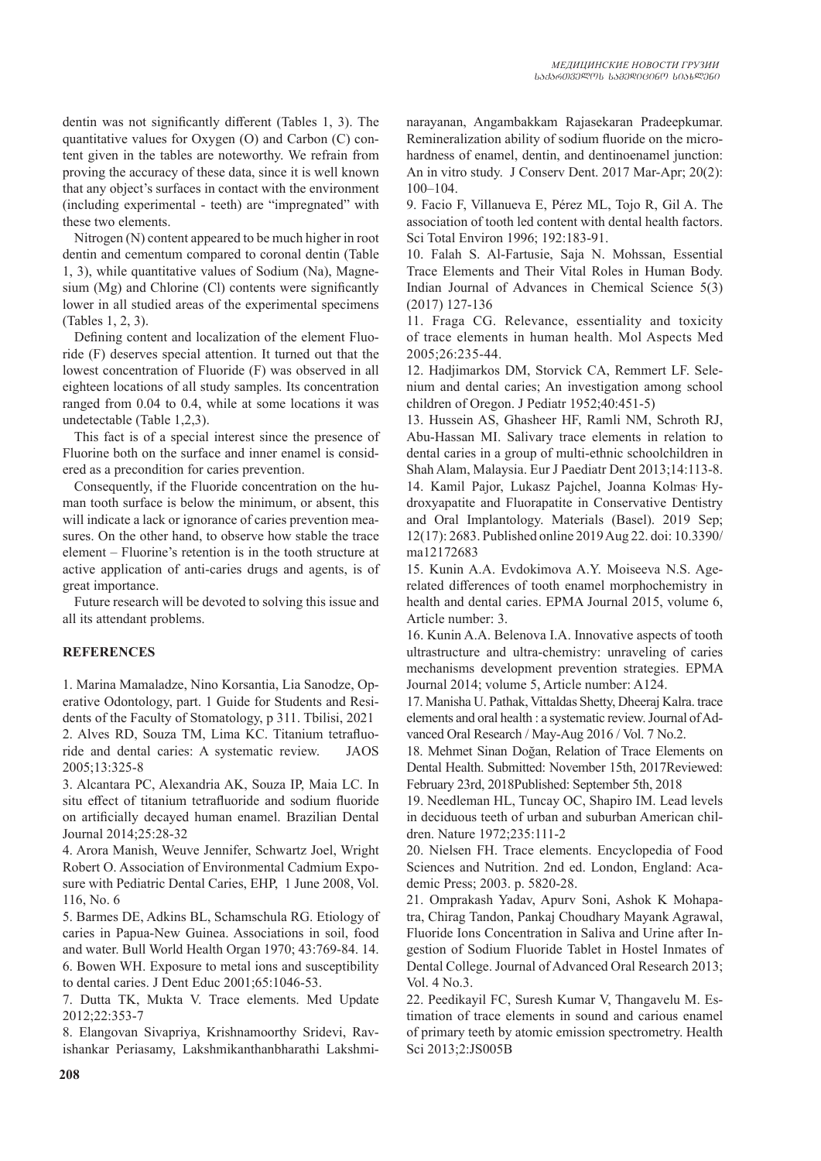dentin was not significantly different (Tables 1, 3). The quantitative values for Oxygen (O) and Carbon (C) content given in the tables are noteworthy. We refrain from proving the accuracy of these data, since it is well known that any object's surfaces in contact with the environment (including experimental - teeth) are "impregnated" with these two elements.

Nitrogen (N) content appeared to be much higher in root dentin and cementum compared to coronal dentin (Table 1, 3), while quantitative values of Sodium (Na), Magnesium (Mg) and Chlorine (Cl) contents were significantly lower in all studied areas of the experimental specimens (Tables 1, 2, 3).

Defining content and localization of the element Fluoride (F) deserves special attention. It turned out that the lowest concentration of Fluoride (F) was observed in all eighteen locations of all study samples. Its concentration ranged from 0.04 to 0.4, while at some locations it was undetectable (Table 1,2,3).

This fact is of a special interest since the presence of Fluorine both on the surface and inner enamel is considered as a precondition for caries prevention.

Consequently, if the Fluoride concentration on the human tooth surface is below the minimum, or absent, this will indicate a lack or ignorance of caries prevention measures. On the other hand, to observe how stable the trace element – Fluorine's retention is in the tooth structure at active application of anti-caries drugs and agents, is of great importance.

Future research will be devoted to solving this issue and all its attendant problems.

## **REFERENCES**

1. Marina Mamaladze, Nino Korsantia, Lia Sanodze, Operative Odontology, part. 1 Guide for Students and Residents of the Faculty of Stomatology, p 311. Tbilisi, 2021 2. Alves RD, Souza TM, Lima KC. Titanium tetrafluoride and dental caries: A systematic review. JAOS 2005;13:325-8

3. Alcantara PC, Alexandria AK, Souza IP, Maia LC. In situ effect of titanium tetrafluoride and sodium fluoride on artificially decayed human enamel. Brazilian Dental Journal 2014;25:28-32

4. Arora Manish, Weuve Jennifer, Schwartz Joel, Wright Robert O. Association of Environmental Cadmium Exposure with Pediatric Dental Caries, EHP, 1 June 2008, Vol. 116, No. 6

5. Barmes DE, Adkins BL, Schamschula RG. Etiology of caries in Papua-New Guinea. Associations in soil, food and water. Bull World Health Organ 1970; 43:769-84. 14. 6. Bowen WH. Exposure to metal ions and susceptibility to dental caries. J Dent Educ 2001;65:1046-53.

7. Dutta TK, Mukta V. Trace elements. Med Update 2012;22:353-7

8. Elangovan Sivapriya, Krishnamoorthy Sridevi, Ravishankar Periasamy, Lakshmikanthanbharathi Lakshminarayanan, Angambakkam Rajasekaran Pradeepkumar. Remineralization ability of sodium fluoride on the microhardness of enamel, dentin, and dentinoenamel junction: An in vitro study. J Conserv Dent. 2017 Mar-Apr; 20(2): 100–104.

9. Facio F, Villanueva E, Pérez ML, Tojo R, Gil A. The association of tooth led content with dental health factors. Sci Total Environ 1996; 192:183-91.

10. Falah S. Al-Fartusie, Saja N. Mohssan, Essential Trace Elements and Their Vital Roles in Human Body. Indian Journal of Advances in Chemical Science 5(3) (2017) 127-136

11. Fraga CG. Relevance, essentiality and toxicity of trace elements in human health. Mol Aspects Med 2005;26:235-44.

12. Hadjimarkos DM, Storvick CA, Remmert LF. Selenium and dental caries; An investigation among school children of Oregon. J Pediatr 1952;40:451-5)

13. Hussein AS, Ghasheer HF, Ramli NM, Schroth RJ, Abu-Hassan MI. Salivary trace elements in relation to dental caries in a group of multi-ethnic schoolchildren in Shah Alam, Malaysia. Eur J Paediatr Dent 2013;14:113-8. 14. Kamil Pajor, Lukasz Pajchel, Joanna Kolmas<sup>,</sup> Hydroxyapatite and Fluorapatite in Conservative Dentistry and Oral Implantology. Materials (Basel). 2019 Sep; 12(17): 2683. Published online 2019 Aug 22. doi: 10.3390/ ma12172683

15. Kunin A.A. Evdokimova A.Y. Moiseeva N.S. Agerelated differences of tooth enamel morphochemistry in health and dental caries. EPMA Journal 2015, volume 6, Article number: 3.

16. Kunin A.A. Belenova I.A. Innovative aspects of tooth ultrastructure and ultra-chemistry: unraveling of caries mechanisms development prevention strategies. EPMA Journal 2014; volume 5, Article number: A124.

17. Manisha U. Pathak, Vittaldas Shetty, Dheeraj Kalra. trace elements and oral health : a systematic review. Journal of Advanced Oral Research / May-Aug 2016 / Vol. 7 No.2.

18. Mehmet Sinan Doğan, Relation of Trace Elements on Dental Health. Submitted: November 15th, 2017Reviewed: February 23rd, 2018Published: September 5th, 2018

19. Needleman HL, Tuncay OC, Shapiro IM. Lead levels in deciduous teeth of urban and suburban American children. Nature 1972;235:111-2

20. Nielsen FH. Trace elements. Encyclopedia of Food Sciences and Nutrition. 2nd ed. London, England: Academic Press; 2003. p. 5820-28.

21. Omprakash Yadav, Apurv Soni, Ashok K Mohapatra, Chirag Tandon, Pankaj Choudhary Mayank Agrawal, Fluoride Ions Concentration in Saliva and Urine after Ingestion of Sodium Fluoride Tablet in Hostel Inmates of Dental College. Journal of Advanced Oral Research 2013; Vol. 4 No.3.

22. Peedikayil FC, Suresh Kumar V, Thangavelu M. Estimation of trace elements in sound and carious enamel of primary teeth by atomic emission spectrometry. Health Sci 2013;2:JS005B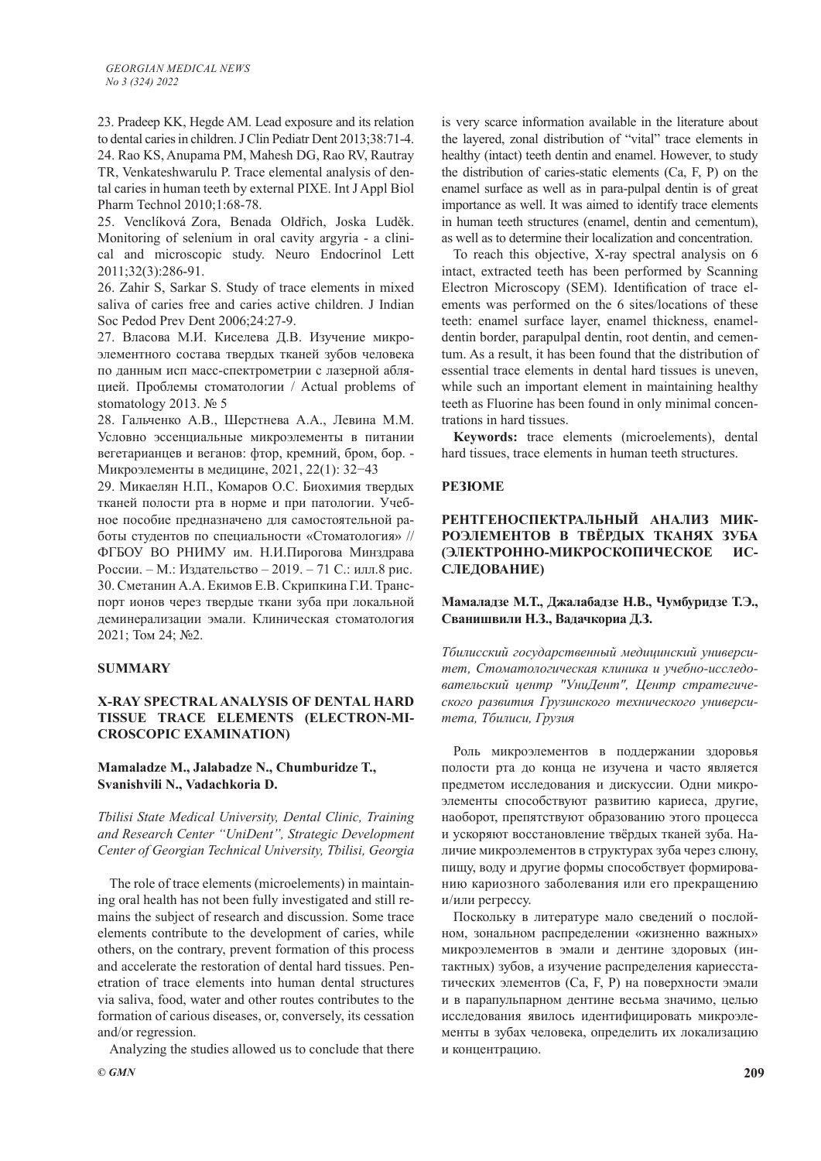23. Pradeep KK, Hegde AM. Lead exposure and its relation to dental caries in children. J Clin Pediatr Dent 2013;38:71-4. 24. Rao KS, Anupama PM, Mahesh DG, Rao RV, Rautray TR, Venkateshwarulu P. Trace elemental analysis of dental caries in human teeth by external PIXE. Int J Appl Biol Pharm Technol 2010;1:68-78.

25. Venclíková Zora, Benada Oldřich, Joska Luděk. Monitoring of selenium in oral cavity argyria - a clinical and microscopic study. Neuro Endocrinol Lett 2011;32(3):286-91.

26. Zahir S, Sarkar S. Study of trace elements in mixed saliva of caries free and caries active children. J Indian Soc Pedod Prev Dent 2006;24:27-9.

27. Власова М.И. Киселева Д.В. Изучение микроэлементного состава твердых тканей зубов человека по данным исп масс-спектрометрии с лазерной абляцией. Проблемы стоматологии / Actual problems of stomatology 2013. № 5

28. Гальченко А.В., Шерстнева А.А., Левина М.М. Условно эссенциальные микроэлементы в питании вегетарианцев и веганов: фтор, кремний, бром, бор. - Микроэлементы в медицине, 2021, 22(1): 32−43

29. Микаелян Н.П., Комаров О.С. Биохимия твердых тканей полости рта в норме и при патологии. Учебное пособие предназначено для самостоятельной работы студентов по специальности «Стоматология» // ФГБОУ ВО РНИМУ им. Н.И.Пирогова Минздрава России. – М.: Издательство – 2019. – 71 С.: илл.8 рис. 30. Сметанин А.А. Екимов Е.В. Скрипкина Г.И. Транспорт ионов через твердые ткани зуба при локальной деминерализации эмали. Клиническая стоматология 2021; Том 24; №2.

## **SUMMARY**

## **X-RAY SPECTRAL ANALYSIS OF DENTAL HARD TISSUE TRACE ELEMENTS (ELECTRON-MI-CROSCOPIC EXAMINATION)**

## **Mamaladze M., Jalabadze N., Chumburidze T., Svanishvili N., Vadachkoria D.**

*Tbilisi State Medical University, Dental Clinic, Training and Research Center "UniDent", Strategic Development Center of Georgian Technical University, Tbilisi, Georgia*

The role of trace elements (microelements) in maintaining oral health has not been fully investigated and still remains the subject of research and discussion. Some trace elements contribute to the development of caries, while others, on the contrary, prevent formation of this process and accelerate the restoration of dental hard tissues. Penetration of trace elements into human dental structures via saliva, food, water and other routes contributes to the formation of carious diseases, or, conversely, its cessation and/or regression.

Analyzing the studies allowed us to conclude that there

is very scarce information available in the literature about the layered, zonal distribution of "vital" trace elements in healthy (intact) teeth dentin and enamel. However, to study the distribution of caries-static elements (Ca, F, P) on the enamel surface as well as in para-pulpal dentin is of great importance as well. It was aimed to identify trace elements in human teeth structures (enamel, dentin and cementum), as well as to determine their localization and concentration.

To reach this objective, X-ray spectral analysis on 6 intact, extracted teeth has been performed by Scanning Electron Microscopy (SEM). Identification of trace elements was performed on the 6 sites/locations of these teeth: enamel surface layer, enamel thickness, enameldentin border, parapulpal dentin, root dentin, and cementum. As a result, it has been found that the distribution of essential trace elements in dental hard tissues is uneven, while such an important element in maintaining healthy teeth as Fluorine has been found in only minimal concentrations in hard tissues.

**Keywords:** trace elements (microelements), dental hard tissues, trace elements in human teeth structures.

#### **РЕЗЮМЕ**

# **РЕНТГЕНОСПЕКТРАЛЬНЫЙ АНАЛИЗ МИК-РОЭЛЕМЕНТОВ В ТВЁРДЫХ ТКАНЯХ ЗУБА (ЭЛЕКТРОННО-МИКРОСКОПИЧЕСКОЕ ИС-СЛЕДОВАНИЕ)**

# **Мамаладзе М.Т., Джалабадзе Н.В., Чумбуридзе Т.Э., Сванишвили Н.З., Вадачкориа Д.З.**

*Тбилисский государственный медицинский университет, Стоматологическая клиника и учебно-исследовательский центр "УниДент", Центр стратегического развития Грузинского технического университета, Тбилиси, Грузия*

Роль микроэлементов в поддержании здоровья полости рта до конца не изучена и часто является предметом исследования и дискуссии. Одни микроэлементы способствуют развитию кариеса, другие, наоборот, препятствуют образованию этого процесса и ускоряют восстановление твёрдых тканей зуба. Наличие микроэлементов в структурах зуба через слюну, пищу, воду и другие формы способствует формированию кариозного заболевания или его прекращению и/или регрессу.

Поскольку в литературе мало сведений о послойном, зональном распределении «жизненно важных» микроэлементов в эмали и дентине здоровых (интактных) зубов, а изучение распределения кариесстатических элементов (Ca, F, P) на поверхности эмали и в парапульпарном дентине весьма значимо, целью исследования явилось идентифицировать микроэлементы в зубах человека, определить их локализацию и концентрацию.